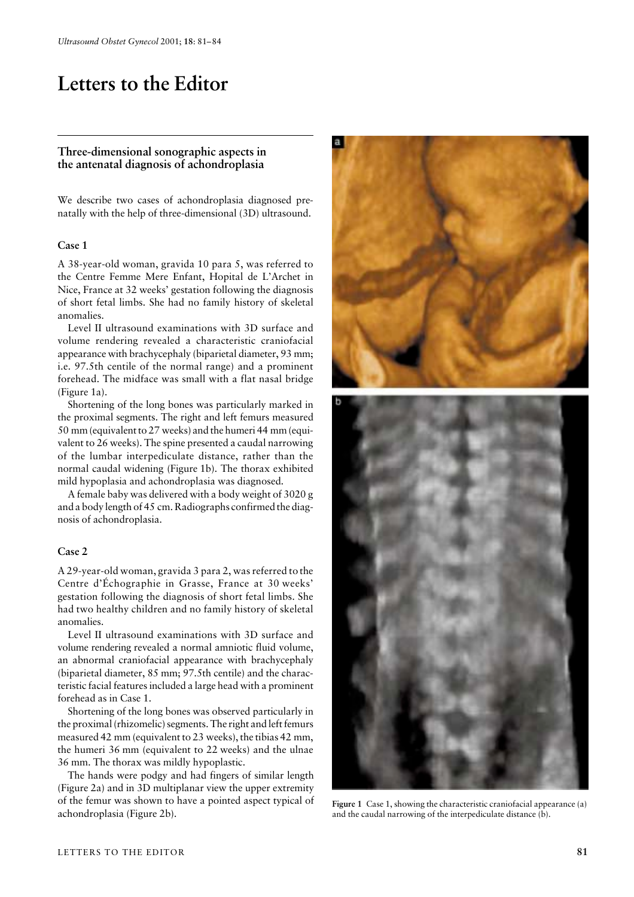# Letters to the Editor

## **Three-dimensional sonographic aspects in the antenatal diagnosis of achondroplasia**

We describe two cases of achondroplasia diagnosed prenatally with the help of three-dimensional (3D) ultrasound.

#### **Case 1**

A 38-year-old woman, gravida 10 para 5, was referred to the Centre Femme Mere Enfant, Hopital de L'Archet in Nice, France at 32 weeks' gestation following the diagnosis of short fetal limbs. She had no family history of skeletal anomalies.

Level II ultrasound examinations with 3D surface and volume rendering revealed a characteristic craniofacial appearance with brachycephaly (biparietal diameter, 93 mm; i.e. 97.5th centile of the normal range) and a prominent forehead. The midface was small with a flat nasal bridge (Figure 1a).

Shortening of the long bones was particularly marked in the proximal segments. The right and left femurs measured 50 mm (equivalent to 27 weeks) and the humeri 44 mm (equivalent to 26 weeks). The spine presented a caudal narrowing of the lumbar interpediculate distance, rather than the normal caudal widening (Figure 1b). The thorax exhibited mild hypoplasia and achondroplasia was diagnosed.

A female baby was delivered with a body weight of 3020 g and a body length of 45 cm. Radiographs confirmed the diagnosis of achondroplasia.

#### **Case 2**

A 29-year-old woman, gravida 3 para 2, was referred to the Centre d'Échographie in Grasse, France at 30 weeks' gestation following the diagnosis of short fetal limbs. She had two healthy children and no family history of skeletal anomalies.

Level II ultrasound examinations with 3D surface and volume rendering revealed a normal amniotic fluid volume, an abnormal craniofacial appearance with brachycephaly (biparietal diameter, 85 mm; 97.5th centile) and the characteristic facial features included a large head with a prominent forehead as in Case 1.

Shortening of the long bones was observed particularly in the proximal (rhizomelic) segments. The right and left femurs measured 42 mm (equivalent to 23 weeks), the tibias 42 mm, the humeri 36 mm (equivalent to 22 weeks) and the ulnae 36 mm. The thorax was mildly hypoplastic.

The hands were podgy and had fingers of similar length (Figure 2a) and in 3D multiplanar view the upper extremity of the femur was shown to have a pointed aspect typical of achondroplasia (Figure 2b).



**Figure 1** Case 1, showing the characteristic craniofacial appearance (a) and the caudal narrowing of the interpediculate distance (b).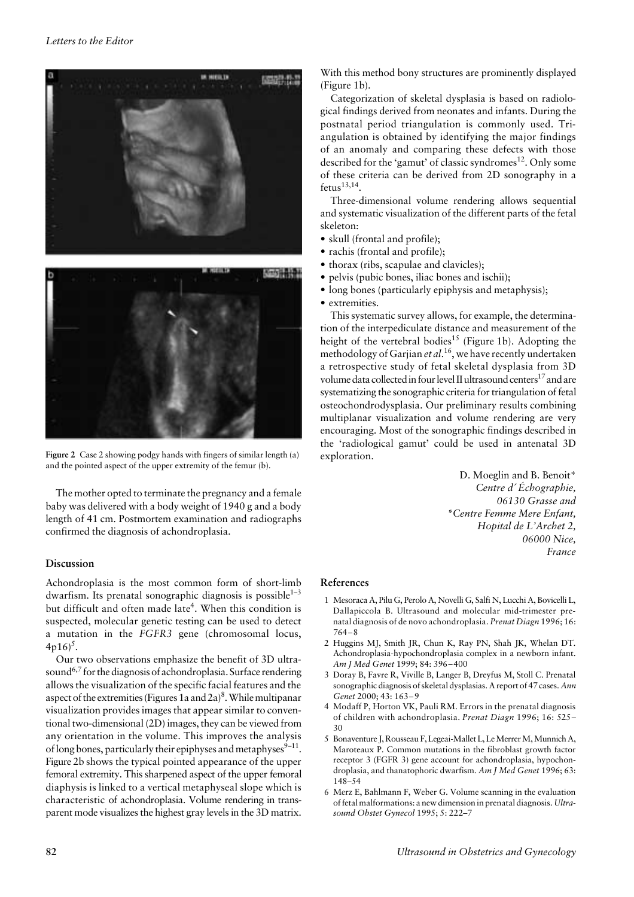

**Figure 2** Case 2 showing podgy hands with fingers of similar length (a) and the pointed aspect of the upper extremity of the femur (b).

The mother opted to terminate the pregnancy and a female baby was delivered with a body weight of 1940 g and a body length of 41 cm. Postmortem examination and radiographs confirmed the diagnosis of achondroplasia.

## **Discussion**

Achondroplasia is the most common form of short-limb dwarfism. Its prenatal sonographic diagnosis is possible<sup> $1-3$ </sup> but difficult and often made late<sup>4</sup>. When this condition is suspected, molecular genetic testing can be used to detect a mutation in the *FGFR3* gene (chromosomal locus,  $4p16$ <sup>5</sup>.

Our two observations emphasize the benefit of 3D ultrasound<sup>6,7</sup> for the diagnosis of achondroplasia. Surface rendering allows the visualization of the specific facial features and the aspect of the extremities (Figures 1a and  $2a)^8$ . While multipanar visualization provides images that appear similar to conventional two-dimensional (2D) images, they can be viewed from any orientation in the volume. This improves the analysis of long bones, particularly their epiphyses and metaphyses $9-11$ . Figure 2b shows the typical pointed appearance of the upper femoral extremity. This sharpened aspect of the upper femoral diaphysis is linked to a vertical metaphyseal slope which is characteristic of achondroplasia. Volume rendering in transparent mode visualizes the highest gray levels in the 3D matrix. With this method bony structures are prominently displayed (Figure 1b).

Categorization of skeletal dysplasia is based on radiological findings derived from neonates and infants. During the postnatal period triangulation is commonly used. Triangulation is obtained by identifying the major findings of an anomaly and comparing these defects with those described for the 'gamut' of classic syndromes<sup>12</sup>. Only some of these criteria can be derived from 2D sonography in a  $f_{\text{etus}}^{13,14}$ .

Three-dimensional volume rendering allows sequential and systematic visualization of the different parts of the fetal skeleton:

- skull (frontal and profile);
- rachis (frontal and profile):
- thorax (ribs, scapulae and clavicles);
- pelvis (pubic bones, iliac bones and ischii);
- long bones (particularly epiphysis and metaphysis):
- extremities.

This systematic survey allows, for example, the determination of the interpediculate distance and measurement of the height of the vertebral bodies<sup>15</sup> (Figure 1b). Adopting the methodology of Garjian *et al*. 16, we have recently undertaken a retrospective study of fetal skeletal dysplasia from 3D volume data collected in four level II ultrasound centers<sup>17</sup> and are systematizing the sonographic criteria for triangulation of fetal osteochondrodysplasia. Our preliminary results combining multiplanar visualization and volume rendering are very encouraging. Most of the sonographic findings described in the 'radiological gamut' could be used in antenatal 3D exploration.

> D. Moeglin and B. Benoit\* *Centre d*′ *Échographie, 06130 Grasse and \*Centre Femme Mere Enfant, Hopital de L'Archet 2, 06000 Nice, France*

#### **References**

- 1 Mesoraca A, Pilu G, Perolo A, Novelli G, Salfi N, Lucchi A, Bovicelli L, Dallapiccola B. Ultrasound and molecular mid-trimester prenatal diagnosis of de novo achondroplasia. *Prenat Diagn* 1996; 16: 764–8
- 2 Huggins MJ, Smith JR, Chun K, Ray PN, Shah JK, Whelan DT. Achondroplasia-hypochondroplasia complex in a newborn infant. *Am J Med Genet* 1999; 84: 396–400
- 3 Doray B, Favre R, Viville B, Langer B, Dreyfus M, Stoll C. Prenatal sonographic diagnosis of skeletal dysplasias. A report of 47 cases. *Ann Genet* 2000; 43: 163–9
- 4 Modaff P, Horton VK, Pauli RM. Errors in the prenatal diagnosis of children with achondroplasia. *Prenat Diagn* 1996; 16: 525– 30
- 5 Bonaventure J, Rousseau F, Legeai-Mallet L, Le Merrer M, Munnich A, Maroteaux P. Common mutations in the fibroblast growth factor receptor 3 (FGFR 3) gene account for achondroplasia, hypochondroplasia, and thanatophoric dwarfism. *Am J Med Genet* 1996; 63: 148–54
- 6 Merz E, Bahlmann F, Weber G. Volume scanning in the evaluation of fetal malformations: a new dimension in prenatal diagnosis. *Ultrasound Obstet Gynecol* 1995; 5: 222–7